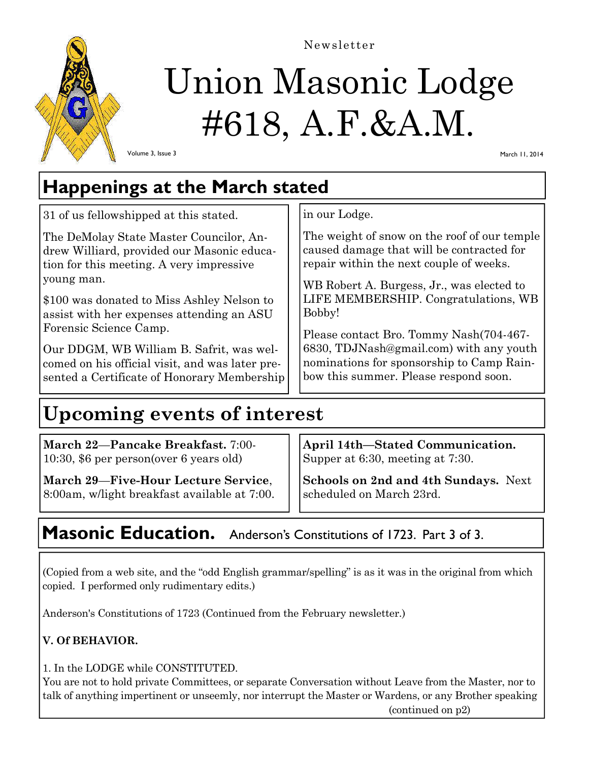

Newsletter

# Union Masonic Lodge #618, A.F.&A.M.

Volume 3, Issue 3

March 11, 2014

## **Happenings at the March stated**

31 of us fellowshipped at this stated.

The DeMolay State Master Councilor, Andrew Williard, provided our Masonic education for this meeting. A very impressive young man.

\$100 was donated to Miss Ashley Nelson to assist with her expenses attending an ASU Forensic Science Camp.

Our DDGM, WB William B. Safrit, was welcomed on his official visit, and was later presented a Certificate of Honorary Membership in our Lodge.

The weight of snow on the roof of our temple caused damage that will be contracted for repair within the next couple of weeks.

WB Robert A. Burgess, Jr., was elected to LIFE MEMBERSHIP. Congratulations, WB Bobby!

Please contact Bro. Tommy Nash(704-467- 6830, TDJNash@gmail.com) with any youth nominations for sponsorship to Camp Rainbow this summer. Please respond soon.

## **Upcoming events of interest**

**March 22**—**Pancake Breakfast.** 7:00- 10:30, \$6 per person(over 6 years old)

**March 29**—**Five-Hour Lecture Service**, 8:00am, w/light breakfast available at 7:00. **April 14th—Stated Communication.**  Supper at 6:30, meeting at 7:30.

**Schools on 2nd and 4th Sundays.** Next scheduled on March 23rd.

### **Masonic Education.** Anderson's Constitutions of 1723. Part 3 of 3.

(Copied from a web site, and the "odd English grammar/spelling" is as it was in the original from which copied. I performed only rudimentary edits.)

Anderson's Constitutions of 1723 (Continued from the February newsletter.)

#### **V. Of BEHAVIOR.**

1. In the LODGE while CONSTITUTED.

You are not to hold private Committees, or separate Conversation without Leave from the Master, nor to talk of anything impertinent or unseemly, nor interrupt the Master or Wardens, or any Brother speaking (continued on p2)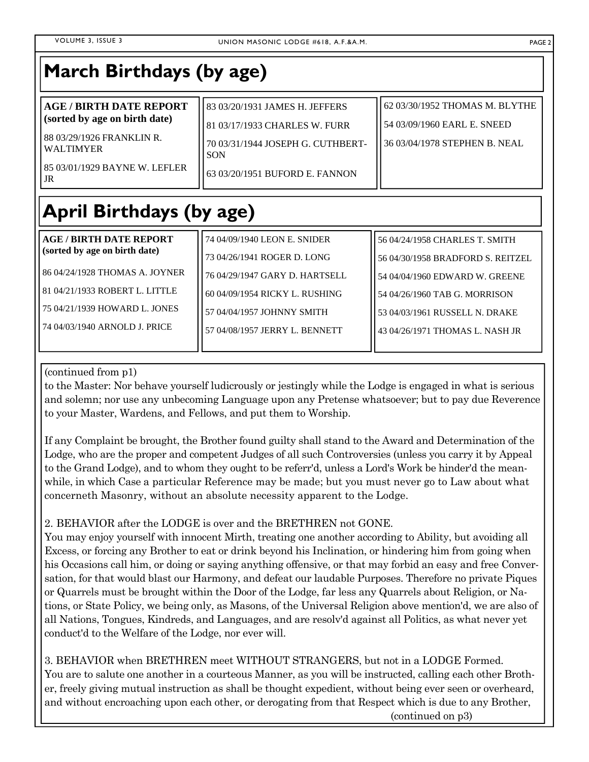## **March Birthdays (by age)**

| <b>AGE / BIRTH DATE REPORT</b>                    | 74 04/09/1940 LEON E. SNIDER      | 56 04/24/1958 CHARLES T. SMITH |
|---------------------------------------------------|-----------------------------------|--------------------------------|
| April Birthdays (by age)                          |                                   |                                |
| JR                                                | 63 03/20/1951 BUFORD E. FANNON    |                                |
| <b>WALTIMYER</b><br>85 03/01/1929 BAYNE W. LEFLER | <b>SON</b>                        |                                |
| 88 03/29/1926 FRANKLIN R.                         | 70 03/31/1944 JOSEPH G. CUTHBERT- | 36 03/04/1978 STEPHEN B. NEAL  |
| (sorted by age on birth date)                     | 81 03/17/1933 CHARLES W. FURR     | 54 03/09/1960 EARL E. SNEED    |
| <b>AGE / BIRTH DATE REPORT</b>                    | 83 03/20/1931 JAMES H. JEFFERS    | 62 03/30/1952 THOMAS M. BLYTHE |

**(sorted by age on birth date)**  86 04/24/1928 THOMAS A. JOYNER 81 04/21/1933 ROBERT L. LITTLE

75 04/21/1939 HOWARD L. JONES

74 04/03/1940 ARNOLD J. PRICE

73 04/26/1941 ROGER D. LONG 76 04/29/1947 GARY D. HARTSELL 60 04/09/1954 RICKY L. RUSHING 57 04/04/1957 JOHNNY SMITH 57 04/08/1957 JERRY L. BENNETT

56 04/24/1958 CHARLES T. SMITH 56 04/30/1958 BRADFORD S. REITZEL 54 04/04/1960 EDWARD W. GREENE 54 04/26/1960 TAB G. MORRISON 53 04/03/1961 RUSSELL N. DRAKE 43 04/26/1971 THOMAS L. NASH JR

#### (continued from p1)

to the Master: Nor behave yourself ludicrously or jestingly while the Lodge is engaged in what is serious and solemn; nor use any unbecoming Language upon any Pretense whatsoever; but to pay due Reverence to your Master, Wardens, and Fellows, and put them to Worship.

If any Complaint be brought, the Brother found guilty shall stand to the Award and Determination of the Lodge, who are the proper and competent Judges of all such Controversies (unless you carry it by Appeal to the Grand Lodge), and to whom they ought to be referr'd, unless a Lord's Work be hinder'd the meanwhile, in which Case a particular Reference may be made; but you must never go to Law about what concerneth Masonry, without an absolute necessity apparent to the Lodge.

#### 2. BEHAVIOR after the LODGE is over and the BRETHREN not GONE.

You may enjoy yourself with innocent Mirth, treating one another according to Ability, but avoiding all Excess, or forcing any Brother to eat or drink beyond his Inclination, or hindering him from going when his Occasions call him, or doing or saying anything offensive, or that may forbid an easy and free Conversation, for that would blast our Harmony, and defeat our laudable Purposes. Therefore no private Piques or Quarrels must be brought within the Door of the Lodge, far less any Quarrels about Religion, or Nations, or State Policy, we being only, as Masons, of the Universal Religion above mention'd, we are also of all Nations, Tongues, Kindreds, and Languages, and are resolv'd against all Politics, as what never yet conduct'd to the Welfare of the Lodge, nor ever will.

3. BEHAVIOR when BRETHREN meet WITHOUT STRANGERS, but not in a LODGE Formed. You are to salute one another in a courteous Manner, as you will be instructed, calling each other Brother, freely giving mutual instruction as shall be thought expedient, without being ever seen or overheard, and without encroaching upon each other, or derogating from that Respect which is due to any Brother, (continued on p3)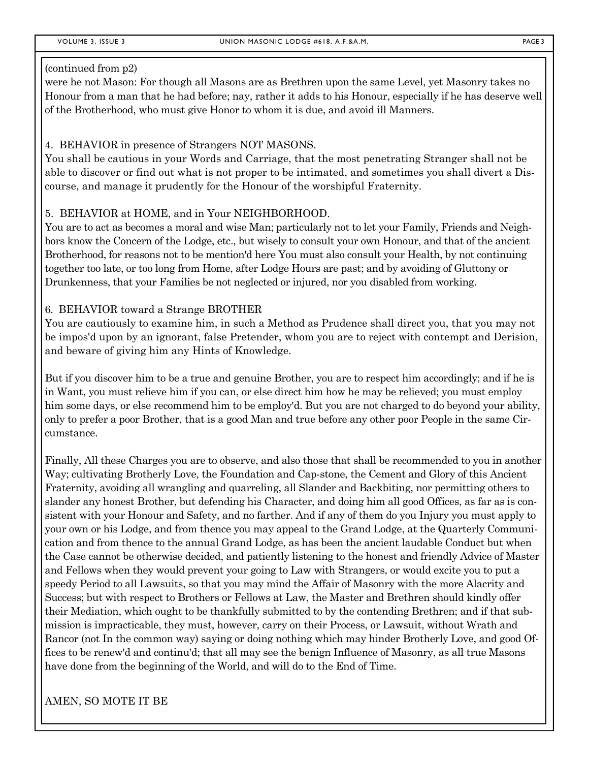#### (continued from p2)

were he not Mason: For though all Masons are as Brethren upon the same Level, yet Masonry takes no Honour from a man that he had before; nay, rather it adds to his Honour, especially if he has deserve well of the Brotherhood, who must give Honor to whom it is due, and avoid ill Manners.

#### 4. BEHAVIOR in presence of Strangers NOT MASONS.

You shall be cautious in your Words and Carriage, that the most penetrating Stranger shall not be able to discover or find out what is not proper to be intimated, and sometimes you shall divert a Discourse, and manage it prudently for the Honour of the worshipful Fraternity.

#### 5. BEHAVIOR at HOME, and in Your NEIGHBORHOOD.

You are to act as becomes a moral and wise Man; particularly not to let your Family, Friends and Neighbors know the Concern of the Lodge, etc., but wisely to consult your own Honour, and that of the ancient Brotherhood, for reasons not to be mention'd here You must also consult your Health, by not continuing together too late, or too long from Home, after Lodge Hours are past; and by avoiding of Gluttony or Drunkenness, that your Families be not neglected or injured, nor you disabled from working.

#### 6. BEHAVIOR toward a Strange BROTHER

You are cautiously to examine him, in such a Method as Prudence shall direct you, that you may not be impos'd upon by an ignorant, false Pretender, whom you are to reject with contempt and Derision, and beware of giving him any Hints of Knowledge.

But if you discover him to be a true and genuine Brother, you are to respect him accordingly; and if he is in Want, you must relieve him if you can, or else direct him how he may be relieved; you must employ him some days, or else recommend him to be employ'd. But you are not charged to do beyond your ability, only to prefer a poor Brother, that is a good Man and true before any other poor People in the same Circumstance.

Finally, All these Charges you are to observe, and also those that shall be recommended to you in another Way; cultivating Brotherly Love, the Foundation and Cap-stone, the Cement and Glory of this Ancient Fraternity, avoiding all wrangling and quarreling, all Slander and Backbiting, nor permitting others to slander any honest Brother, but defending his Character, and doing him all good Offices, as far as is consistent with your Honour and Safety, and no farther. And if any of them do you Injury you must apply to your own or his Lodge, and from thence you may appeal to the Grand Lodge, at the Quarterly Communication and from thence to the annual Grand Lodge, as has been the ancient laudable Conduct but when the Case cannot be otherwise decided, and patiently listening to the honest and friendly Advice of Master and Fellows when they would prevent your going to Law with Strangers, or would excite you to put a speedy Period to all Lawsuits, so that you may mind the Affair of Masonry with the more Alacrity and Success; but with respect to Brothers or Fellows at Law, the Master and Brethren should kindly offer their Mediation, which ought to be thankfully submitted to by the contending Brethren; and if that submission is impracticable, they must, however, carry on their Process, or Lawsuit, without Wrath and Rancor (not In the common way) saying or doing nothing which may hinder Brotherly Love, and good Offices to be renew'd and continu'd; that all may see the benign Influence of Masonry, as all true Masons have done from the beginning of the World, and will do to the End of Time.

#### AMEN, SO MOTE IT BE